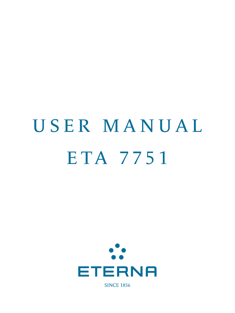# USER MANUAL ETA 7751



**SINCE 1856**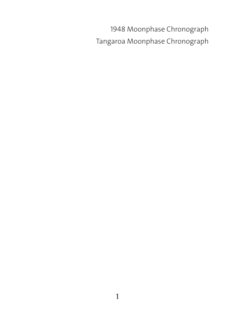1948 Moonphase Chronograph Tangaroa Moonphase Chronograph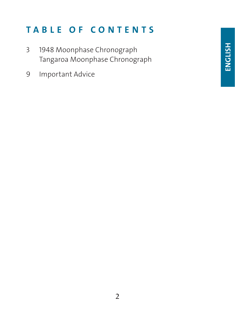# TABLE OF CONTENTS

- 3 1948 Moonphase Chronograph Tangaroa Moonphase Chronograph
- 9 Important Advice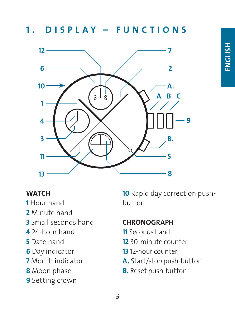1. DISPLAY - FUNCTIONS



#### **WATCH**

- Hour hand
- Minute hand
- Small seconds hand
- 24-hour hand
- Date hand
- Day indicator
- Month indicator
- 8 Moon phase
- Setting crown

10 Rapid day correction pushbutton

#### **CHRONOGRAPH**

- Seconds hand
- 30-minute counter
- 12-hour counter
- A. Start/stop push-button
- **B.** Reset push-button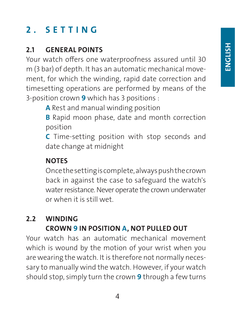# 2. SETTING

#### 2.1 GENERAL POINTS

Your watch offers one waterproofness assured until 30 m (3 bar) of depth. It has an automatic mechanical movement, for which the winding, rapid date correction and timesetting operations are performed by means of the 3-position crown 9 which has 3 positions :

A Rest and manual winding position

**B** Rapid moon phase, date and month correction position

C Time-setting position with stop seconds and date change at midnight

#### **NOTES**

Once the setting is complete, always push the crown back in against the case to safeguard the watch's water resistance. Never operate the crown underwater or when it is still wet.

#### 2.2 WINDING CROWN 9 IN POSITION A, NOT PULLED OUT

Your watch has an automatic mechanical movement which is wound by the motion of your wrist when you are wearing the watch. It is therefore not normally necessary to manually wind the watch. However, if your watch should stop, simply turn the crown 9 through a few turns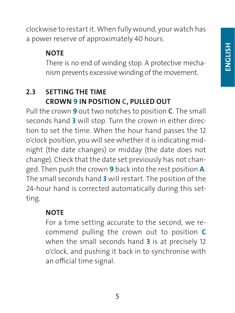clockwise to restart it. When fully wound, your watch has a power reserve of approximately 40 hours.

#### **NOTE**

There is no end of winding stop. A protective mechanism prevents excessive winding of the movement.

#### 2.3 SETTING THE TIME CROWN 9 IN POSITION C, PULLED OUT

Pull the crown 9 out two notches to position C. The small seconds hand 3 will stop. Turn the crown in either direction to set the time. When the hour hand passes the 12 o'clock position, you will see whether it is indicating midnight (the date changes) or midday (the date does not change). Check that the date set previously has not changed. Then push the crown 9 back into the rest position A. The small seconds hand 3 will restart. The position of the 24-hour hand is corrected automatically during this setting.

#### **NOTE**

For a time setting accurate to the second, we recommend pulling the crown out to position C when the small seconds hand 3 is at precisely 12 o'clock, and pushing it back in to synchronise with an official time signal.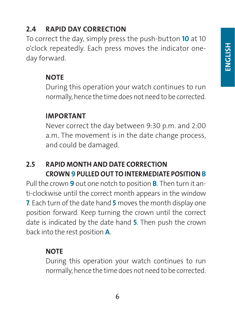#### 2.4 RAPID DAY CORRECTION

To correct the day, simply press the push-button 10 at 10 o'clock repeatedly. Each press moves the indicator oneday forward.

#### **NOTE**

During this operation your watch continues to run normally, hence the time does not need to be corrected.

#### IMPORTANT

Never correct the day between 9:30 p.m. and 2:00 a.m. The movement is in the date change process, and could be damaged.

#### 2.5 RAPID MONTH AND DATE CORRECTION CROWN 9 PULLED OUT TO INTERMEDIATE POSITION B

Pull the crown 9 out one notch to position **B**. Then turn it anti-clockwise until the correct month appears in the window 7. Each turn of the date hand 5 moves the month display one position forward. Keep turning the crown until the correct date is indicated by the date hand 5. Then push the crown back into the rest position A.

#### **NOTE**

During this operation your watch continues to run normally, hence the time does not need to be corrected.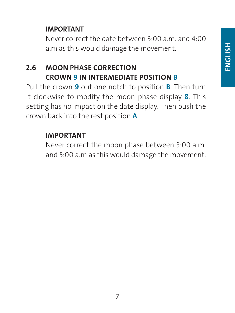#### IMPORTANT

Never correct the date between 3:00 a.m. and 4:00 a.m as this would damage the movement.

#### 2.6 MOON PHASE CORRECTION CROWN 9 IN INTERMEDIATE POSITION B

Pull the crown 9 out one notch to position **B**. Then turn it clockwise to modify the moon phase display 8. This setting has no impact on the date display. Then push the crown back into the rest position A.

#### IMPORTANT

Never correct the moon phase between 3:00 a.m. and 5:00 a.m as this would damage the movement.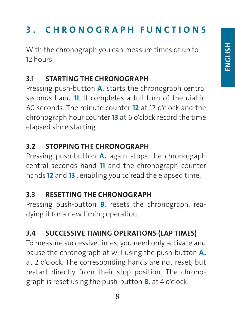# 3 . CHRONOGRAPH FUNCTIONS

With the chronograph you can measure times of up to 12 hours.

#### 3.1 STARTING THE CHRONOGRAPH

Pressing push-button A. starts the chronograph central seconds hand 11. It completes a full turn of the dial in 60 seconds. The minute counter 12 at 12 o'clock and the chronograph hour counter 13 at 6 o'clock record the time elapsed since starting.

#### 3.2 STOPPING THE CHRONOGRAPH

Pressing push-button **A.** again stops the chronograph central seconds hand 11 and the chronograph counter hands 12 and 13, enabling you to read the elapsed time.

#### 3.3 RESETTING THE CHRONOGRAPH

Pressing push-button **B.** resets the chronograph, readying it for a new timing operation.

# 3.4 SUCCESSIVE TIMING OPERATIONS (LAP TIMES)

To measure successive times, you need only activate and pause the chronograph at will using the push-button **A.** at 2 o'clock. The corresponding hands are not reset, but restart directly from their stop position. The chronograph is reset using the push-button B. at 4 o'clock.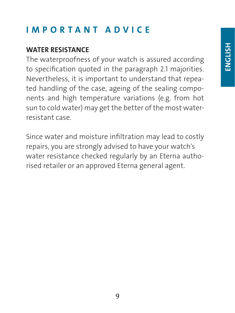# IMPORTANT ADVICE

#### WATER RESISTANCE

The waterproofness of your watch is assured according to specification quoted in the paragraph 2.1 majorities. Nevertheless, it is important to understand that repeated handling of the case, ageing of the sealing components and high temperature variations (e.g. from hot sun to cold water) may get the better of the most waterresistant case.

Since water and moisture infiltration may lead to costly repairs, you are strongly advised to have your watch's water resistance checked regularly by an Eterna authorised retailer or an approved Eterna general agent.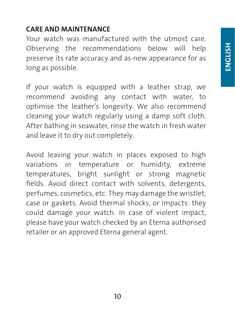#### CARE AND MAINTENANCE

Your watch was manufactured with the utmost care. Observing the recommendations below will help preserve its rate accuracy and as-new appearance for as long as possible.

If your watch is equipped with a leather strap, we recommend avoiding any contact with water, to optimise the leather's longevity. We also recommend cleaning your watch regularly using a damp soft cloth. After bathing in seawater, rinse the watch in fresh water and leave it to dry out completely.

Avoid leaving your watch in places exposed to high variations in temperature or humidity, extreme temperatures, bright sunlight or strong magnetic fields. Avoid direct contact with solvents, detergents, perfumes, cosmetics, etc. They may damage the wristlet, case or gaskets. Avoid thermal shocks, or impacts: they could damage your watch. In case of violent impact, please have your watch checked by an Eterna authorised retailer or an approved Eterna general agent.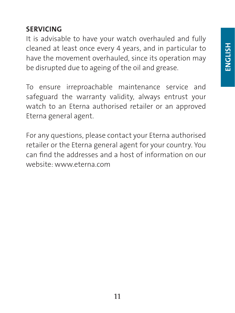#### SERVICING

It is advisable to have your watch overhauled and fully cleaned at least once every 4 years, and in particular to have the movement overhauled, since its operation may be disrupted due to ageing of the oil and grease.

To ensure irreproachable maintenance service and safeguard the warranty validity, always entrust your watch to an Eterna authorised retailer or an approved Eterna general agent.

For any questions, please contact your Eterna authorised retailer or the Eterna general agent for your country. You can find the addresses and a host of information on our website: www.eterna.com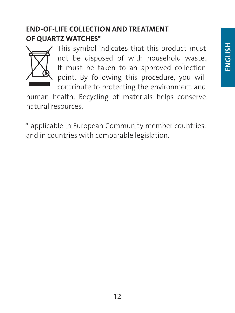#### END-OF-LIFE COLLECTION AND TREATMENT OF QUARTZ WATCHES\*



This symbol indicates that this product must not be disposed of with household waste. It must be taken to an approved collection point. By following this procedure, you will contribute to protecting the environment and

human health. Recycling of materials helps conserve natural resources.

\* applicable in European Community member countries, and in countries with comparable legislation.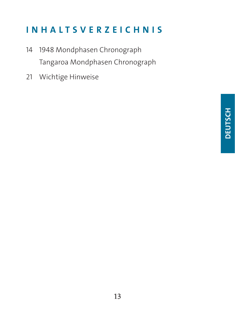# INHALTSVERZEICHNIS

- 14 1948 Mondphasen Chronograph Tangaroa Mondphasen Chronograph
- 21 Wichtige Hinweise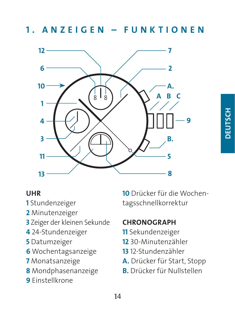1. ANZEIGEN – FUNKTIONEN



#### UHR

- Stundenzeiger
- Minutenzeiger
- Zeiger der kleinen Sekunde
- 24-Stundenzeiger
- Datumzeiger
- Wochentagsanzeige
- Monatsanzeige
- Mondphasenanzeige
- Einstellkrone

Drücker für die Wochentagsschnellkorrektur

#### **CHRONOGRAPH**

- Sekundenzeiger
- 30-Minutenzähler
- 12-Stundenzähler
- A. Drücker für Start, Stopp
- B. Drücker für Nullstellen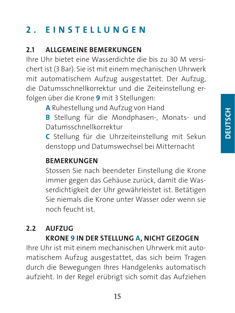# 2. EINSTELLUNGEN

#### 2.1 ALLGEMEINE BEMERKUNGEN

Ihre Uhr bietet eine Wasserdichte die bis zu 30 M versichert ist (3 Bar). Sie ist mit einem mechanischen Uhrwerk mit automatischem Aufzug ausgestattet. Der Aufzug, die Datumsschnellkorrektur und die Zeiteinstellung erfolgen über die Krone 9 mit 3 Stellungen:

A Ruhestellung und Aufzug von Hand

B Stellung für die Mondphasen-, Monats- und Datumsschnellkorrektur

C Stellung für die Uhrzeiteinstellung mit Sekun denstopp und Datumswechsel bei Mitternacht

#### **BEMERKUNGEN**

Stossen Sie nach beendeter Einstellung die Krone immer gegen das Gehäuse zurück, damit die Wasserdichtigkeit der Uhr gewährleistet ist. Betätigen Sie niemals die Krone unter Wasser oder wenn sie noch feucht ist.

# 2.2 AUFZUG

#### KRONE 9 IN DER STELLUNG A, NICHT GEZOGEN

Ihre Uhr ist mit einem mechanischen Uhrwerk mit automatischem Aufzug ausgestattet, das sich beim Tragen durch die Bewegungen Ihres Handgelenks automatisch aufzieht. In der Regel erübrigt sich somit das Aufziehen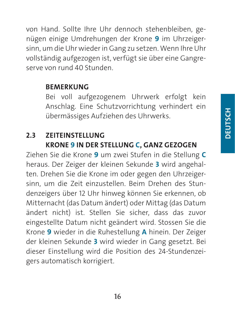von Hand. Sollte Ihre Uhr dennoch stehenbleiben, genügen einige Umdrehungen der Krone 9 im Uhrzeigersinn, um die Uhr wieder in Gang zu setzen. Wenn Ihre Uhr vollständig aufgezogen ist, verfügt sie über eine Gangreserve von rund 40 Stunden.

#### BEMERKUNG

Bei voll aufgezogenem Uhrwerk erfolgt kein Anschlag. Eine Schutzvorrichtung verhindert ein übermässiges Aufziehen des Uhrwerks.

#### 2.3 ZEITEINSTELLUNG KRONE 9 IN DER STELLUNG C, GANZ GEZOGEN

Ziehen Sie die Krone 9 um zwei Stufen in die Stellung C heraus. Der Zeiger der kleinen Sekunde 3 wird angehalten. Drehen Sie die Krone im oder gegen den Uhrzeigersinn, um die Zeit einzustellen. Beim Drehen des Stundenzeigers über 12 Uhr hinweg können Sie erkennen, ob Mitternacht (das Datum ändert) oder Mittag (das Datum ändert nicht) ist. Stellen Sie sicher, dass das zuvor eingestellte Datum nicht geändert wird. Stossen Sie die Krone 9 wieder in die Ruhestellung A hinein. Der Zeiger der kleinen Sekunde 3 wird wieder in Gang gesetzt. Bei dieser Einstellung wird die Position des 24-Stundenzeigers automatisch korrigiert.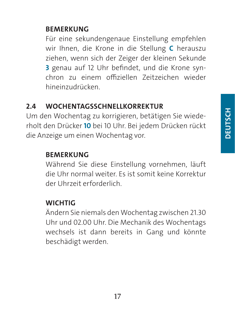#### BEMERKUNG

Für eine sekundengenaue Einstellung empfehlen wir Ihnen, die Krone in die Stellung C herauszu ziehen, wenn sich der Zeiger der kleinen Sekunde 3 genau auf 12 Uhr befindet, und die Krone synchron zu einem offiziellen Zeitzeichen wieder hineinzudrücken.

#### 2.4 WOCHENTAGSSCHNELLKORREKTUR

Um den Wochentag zu korrigieren, betätigen Sie wiederholt den Drücker 10 bei 10 Uhr. Bei jedem Drücken rückt die Anzeige um einen Wochentag vor.

#### BEMERKUNG

Während Sie diese Einstellung vornehmen, läuft die Uhr normal weiter. Es ist somit keine Korrektur der Uhrzeit erforderlich.

#### **WICHTIG**

Ändern Sie niemals den Wochentag zwischen 21.30 Uhr und 02.00 Uhr. Die Mechanik des Wochentags wechsels ist dann bereits in Gang und könnte beschädigt werden.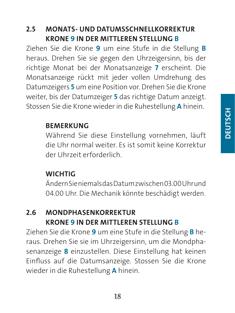#### 2.5 MONATS- UND DATUMSSCHNELLKORREKTUR KRONE 9 IN DER MITTLEREN STELLUNG B

Ziehen Sie die Krone 9 um eine Stufe in die Stellung B heraus. Drehen Sie sie gegen den Uhrzeigersinn, bis der richtige Monat bei der Monatsanzeige 7 erscheint. Die Monatsanzeige rückt mit jeder vollen Umdrehung des Datumzeigers 5 um eine Position vor. Drehen Sie die Krone weiter, bis der Datumzeiger 5 das richtige Datum anzeigt. Stossen Sie die Krone wieder in die Ruhestellung A hinein.

#### **BEMERKUNG**

Während Sie diese Einstellung vornehmen, läuft die Uhr normal weiter. Es ist somit keine Korrektur der Uhrzeit erforderlich.

#### **WICHTIG**

Ändern Sie niemals das Datum zwischen 03.00 Uhr und 04.00 Uhr. Die Mechanik könnte beschädigt werden.

#### 2.6 MONDPHASENKORREKTUR KRONE 9 IN DER MITTLEREN STELLUNG B

Ziehen Sie die Krone 9 um eine Stufe in die Stellung B heraus. Drehen Sie sie im Uhrzeigersinn, um die Mondphasenanzeige 8 einzustellen. Diese Einstellung hat keinen Einfluss auf die Datumsanzeige. Stossen Sie die Krone wieder in die Ruhestellung A hinein.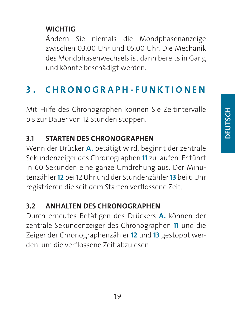#### **WICHTIG**

Ändern Sie niemals die Mondphasenanzeige zwischen 03.00 Uhr und 05.00 Uhr. Die Mechanik des Mondphasenwechsels ist dann bereits in Gang und könnte beschädigt werden.

### 3 . CHRONOGRAPH-FUNKTIONEN

Mit Hilfe des Chronographen können Sie Zeitintervalle bis zur Dauer von 12 Stunden stoppen.

#### 3.1 STARTEN DES CHRONOGRAPHEN

Wenn der Drücker A. betätigt wird, beginnt der zentrale Sekundenzeiger des Chronographen 11 zu laufen. Er führt in 60 Sekunden eine ganze Umdrehung aus. Der Minutenzähler 12 bei 12 Uhr und der Stundenzähler 13 bei 6 Uhr registrieren die seit dem Starten verflossene Zeit.

#### 3.2 ANHALTEN DES CHRONOGRAPHEN

Durch erneutes Betätigen des Drückers A. können der zentrale Sekundenzeiger des Chronographen 11 und die Zeiger der Chronographenzähler 12 und 13 gestoppt werden, um die verflossene Zeit abzulesen.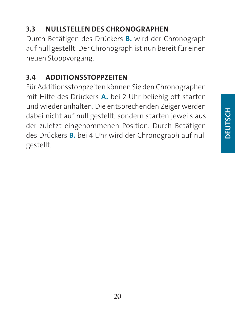# **DEUTSCH DEUTSCH**

#### 3.3 NULLSTELLEN DES CHRONOGRAPHEN

Durch Betätigen des Drückers B. wird der Chronograph auf null gestellt. Der Chronograph ist nun bereit für einen neuen Stoppvorgang.

#### 3.4 ADDITIONSSTOPPZEITEN

Für Additionsstoppzeiten können Sie den Chronographen mit Hilfe des Drückers A. bei 2 Uhr beliebig oft starten und wieder anhalten. Die entsprechenden Zeiger werden dabei nicht auf null gestellt, sondern starten jeweils aus der zuletzt eingenommenen Position. Durch Betätigen des Drückers B. bei 4 Uhr wird der Chronograph auf null gestellt.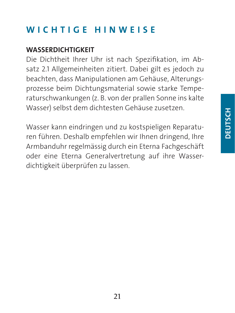# WICHTIGE HINWEISE

#### WASSERDICHTIGKEIT

Die Dichtheit Ihrer Uhr ist nach Spezifikation, im Absatz 2.1 Allgemeinheiten zitiert. Dabei gilt es jedoch zu beachten, dass Manipulationen am Gehäuse, Alterungsprozesse beim Dichtungsmaterial sowie starke Temperaturschwankungen (z. B. von der prallen Sonne ins kalte Wasser) selbst dem dichtesten Gehäuse zusetzen.

Wasser kann eindringen und zu kostspieligen Reparaturen führen. Deshalb empfehlen wir Ihnen dringend, Ihre Armbanduhr regelmässig durch ein Eterna Fachgeschäft oder eine Eterna Generalvertretung auf ihre Wasserdichtigkeit überprüfen zu lassen.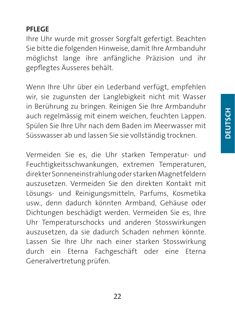#### PFLEGE

Ihre Uhr wurde mit grosser Sorgfalt gefertigt. Beachten Sie bitte die folgenden Hinweise, damit Ihre Armbanduhr möglichst lange ihre anfängliche Präzision und ihr gepflegtes Äusseres behält.

Wenn Ihre Uhr über ein Lederband verfügt, empfehlen wir, sie zugunsten der Langlebigkeit nicht mit Wasser in Berührung zu bringen. Reinigen Sie Ihre Armbanduhr auch regelmässig mit einem weichen, feuchten Lappen. Spülen Sie Ihre Uhr nach dem Baden im Meerwasser mit Süsswasser ab und lassen Sie sie vollständig trocknen.

Vermeiden Sie es, die Uhr starken Temperatur- und Feuchtigkeitsschwankungen, extremen Temperaturen, direkter Sonneneinstrahlung oder starken Magnetfeldern auszusetzen. Vermeiden Sie den direkten Kontakt mit Lösungs- und Reinigungsmitteln, Parfums, Kosmetika usw., denn dadurch könnten Armband, Gehäuse oder Dichtungen beschädigt werden. Vermeiden Sie es, Ihre Uhr Temperaturschocks und anderen Stosswirkungen auszusetzen, da sie dadurch Schaden nehmen könnte. Lassen Sie Ihre Uhr nach einer starken Stosswirkung durch ein Eterna Fachgeschäft oder eine Eterna Generalvertretung prüfen.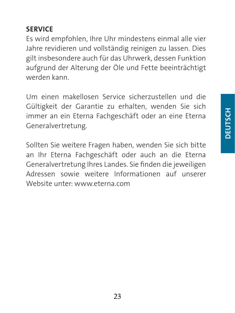#### SERVICE

Es wird empfohlen, Ihre Uhr mindestens einmal alle vier Jahre revidieren und vollständig reinigen zu lassen. Dies gilt insbesondere auch für das Uhrwerk, dessen Funktion aufgrund der Alterung der Öle und Fette beeinträchtigt werden kann.

Um einen makellosen Service sicherzustellen und die Gültigkeit der Garantie zu erhalten, wenden Sie sich immer an ein Eterna Fachgeschäft oder an eine Eterna Generalvertretung.

Sollten Sie weitere Fragen haben, wenden Sie sich bitte an Ihr Eterna Fachgeschäft oder auch an die Eterna Generalvertretung Ihres Landes. Sie finden die jeweiligen Adressen sowie weitere Informationen auf unserer Website unter: www.eterna.com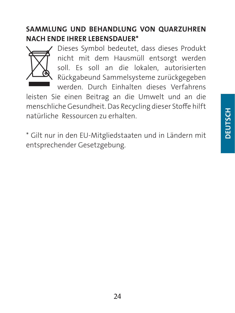#### SAMMLUNG UND BEHANDLUNG VON QUARZUHREN NACH ENDE IHRER LEBENSDAUER\*



Dieses Symbol bedeutet, dass dieses Produkt nicht mit dem Hausmüll entsorgt werden soll. Es soll an die lokalen, autorisierten Rückgabeund Sammelsysteme zurückgegeben werden. Durch Einhalten dieses Verfahrens

leisten Sie einen Beitrag an die Umwelt und an die menschliche Gesundheit. Das Recycling dieser Stoffe hilft natürliche Ressourcen zu erhalten.

\* Gilt nur in den EU-Mitgliedstaaten und in Ländern mit entsprechender Gesetzgebung.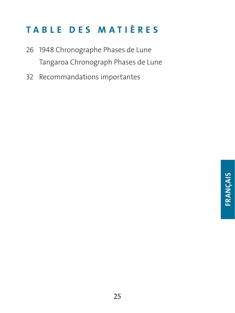# TABLE DES MATIÈRES

- 26 1948 Chronographe Phases de Lune Tangaroa Chronograph Phases de Lune
- 32 Recommandations importantes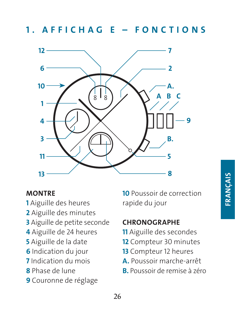1. AFFICHAG E – FONCTIONS



#### **MONTRE**

- Aiguille des heures
- Aiguille des minutes
- Aiguille de petite seconde
- Aiguille de 24 heures
- Aiguille de la date
- Indication du jour
- Indication du mois
- Phase de lune
- Couronne de réglage

 Poussoir de correction rapide du jour

#### **CHRONOGRAPHE**

- Aiguille des secondes
- Compteur 30 minutes
- Compteur 12 heures
- A. Poussoir marche-arrêt
- B. Poussoir de remise à zéro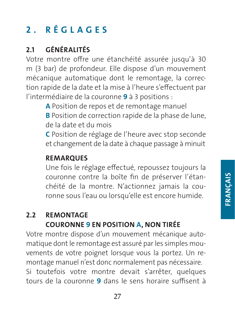# 2 . RÉGLAGES

# 2.1 GÉNÉRALITÉS

Votre montre offre une étanchéité assurée jusqu'à 30 m (3 bar) de profondeur. Elle dispose d'un mouvement mécanique automatique dont le remontage, la correction rapide de la date et la mise à l'heure s'effectuent par l'intermédiaire de la couronne 9 à 3 positions :

A Position de repos et de remontage manuel

B Position de correction rapide de la phase de lune, de la date et du mois

C Position de réglage de l'heure avec stop seconde et changement de la date à chaque passage à minuit

#### **REMARQUES**

Une fois le réglage effectué, repoussez toujours la couronne contre la boîte fin de préserver l'étanchéité de la montre. N'actionnez jamais la couronne sous l'eau ou lorsqu'elle est encore humide.

#### 2.2 REMONTAGE COURONNE 9 EN POSITION A, NON TIRÉE

Votre montre dispose d'un mouvement mécanique automatique dont le remontage est assuré par les simples mouvements de votre poignet lorsque vous la portez. Un remontage manuel n'est donc normalement pas nécessaire. Si toutefois votre montre devait s'arrêter, quelques tours de la couronne 9 dans le sens horaire suffisent à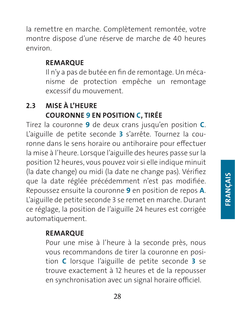la remettre en marche. Complètement remontée, votre montre dispose d'une réserve de marche de 40 heures environ.

#### REMARQUE

Il n'y a pas de butée en fin de remontage. Un mécanisme de protection empêche un remontage excessif du mouvement.

#### 2.3 MISE À L'HEURE COURONNE 9 EN POSITION C, TIRÉE

Tirez la couronne 9 de deux crans jusqu'en position C. L'aiguille de petite seconde 3 s'arrête. Tournez la couronne dans le sens horaire ou antihoraire pour effectuer la mise à l'heure. Lorsque l'aiguille des heures passe sur la position 12 heures, vous pouvez voir si elle indique minuit (la date change) ou midi (la date ne change pas). Vérifiez que la date réglée précédemment n'est pas modifiée. Repoussez ensuite la couronne 9 en position de repos A. L'aiguille de petite seconde 3 se remet en marche. Durant ce réglage, la position de l'aiguille 24 heures est corrigée automatiquement.

#### REMARQUE

Pour une mise à l'heure à la seconde près, nous vous recommandons de tirer la couronne en position C lorsque l'aiguille de petite seconde 3 se trouve exactement à 12 heures et de la repousser en synchronisation avec un signal horaire officiel.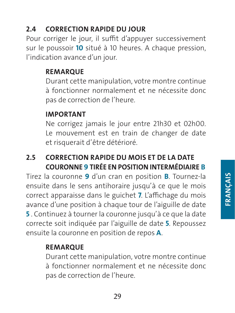#### 2.4 CORRECTION RAPIDE DU JOUR

Pour corriger le jour, il suffit d'appuyer successivement sur le poussoir 10 situé à 10 heures. A chaque pression, l'indication avance d'un jour.

#### REMARQUE

Durant cette manipulation, votre montre continue à fonctionner normalement et ne nécessite donc pas de correction de l'heure.

#### **IMPORTANT**

Ne corrigez jamais le jour entre 21h30 et 02h00. Le mouvement est en train de changer de date et risquerait d'être détérioré.

#### 2.5 CORRECTION RAPIDE DU MOIS ET DE LA DATE COURONNE 9 TIRÉE EN POSITION INTERMÉDIAIRE B

Tirez la couronne 9 d'un cran en position B. Tournez-la ensuite dans le sens antihoraire jusqu'à ce que le mois correct apparaisse dans le guichet 7. L'affichage du mois avance d'une position à chaque tour de l'aiguille de date 5 . Continuez à tourner la couronne jusqu'à ce que la date correcte soit indiquée par l'aiguille de date 5. Repoussez ensuite la couronne en position de repos A.

#### **REMARQUE**

Durant cette manipulation, votre montre continue à fonctionner normalement et ne nécessite donc pas de correction de l'heure.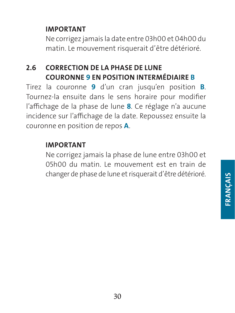#### IMPORTANT

Ne corrigez jamais la date entre 03h00 et 04h00 du matin. Le mouvement risquerait d'être détérioré.

#### 2.6 CORRECTION DE LA PHASE DE LUNE COURONNE 9 EN POSITION INTERMÉDIAIRE B

Tirez la couronne 9 d'un cran jusqu'en position B. Tournez-la ensuite dans le sens horaire pour modifier l'affichage de la phase de lune 8. Ce réglage n'a aucune incidence sur l'affichage de la date. Repoussez ensuite la couronne en position de repos A.

#### IMPORTANT

Ne corrigez jamais la phase de lune entre 03h00 et 05h00 du matin. Le mouvement est en train de changer de phase de lune et risquerait d'être détérioré.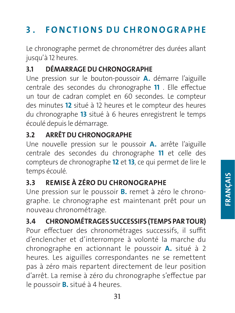# 3 . FONCTIONS DU CHRONOGRAPHE

Le chronographe permet de chronométrer des durées allant jusqu'à 12 heures.

#### 3.1 DÉMARRAGE DU CHRONOGRAPHE

Une pression sur le bouton-poussoir A. démarre l'aiguille centrale des secondes du chronographe 11 . Elle effectue un tour de cadran complet en 60 secondes. Le compteur des minutes 12 situé à 12 heures et le compteur des heures du chronographe 13 situé à 6 heures enregistrent le temps écoulé depuis le démarrage.

#### 3.2 ARRÊT DU CHRONOGRAPHE

Une nouvelle pression sur le poussoir A. arrête l'aiguille centrale des secondes du chronographe 11 et celle des compteurs de chronographe 12 et 13, ce qui permet de lire le temps écoulé.

#### 3.3 REMISE À ZÉRO DU CHRONOGRAPHE

Une pression sur le poussoir B. remet à zéro le chronographe. Le chronographe est maintenant prêt pour un nouveau chronométrage.

# 3.4 CHRONOMÉTRAGES SUCCESSIFS (TEMPS PAR TOUR)

Pour effectuer des chronométrages successifs, il suffit d'enclencher et d'interrompre à volonté la marche du chronographe en actionnant le poussoir A. situé à 2 heures. Les aiguilles correspondantes ne se remettent pas à zéro mais repartent directement de leur position d'arrêt. La remise à zéro du chronographe s'effectue par le poussoir B. situé à 4 heures.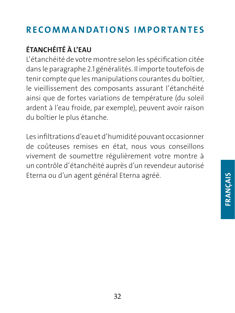# RECOMMANDATIONS IMPORTANTES

# ÉTANCHÉITÉ À L'EAU

L'étanchéité de votre montre selon les spécification citée dans le paragraphe 2.1 généralités. Il importe toutefois de tenir compte que les manipulations courantes du boîtier, le vieillissement des composants assurant l'étanchéité ainsi que de fortes variations de température (du soleil ardent à l'eau froide, par exemple), peuvent avoir raison du boîtier le plus étanche.

Les infiltrations d'eau et d'humidité pouvant occasionner de coûteuses remises en état, nous vous conseillons vivement de soumettre régulièrement votre montre à un contrôle d'étanchéité auprès d'un revendeur autorisé Eterna ou d'un agent général Eterna agréé.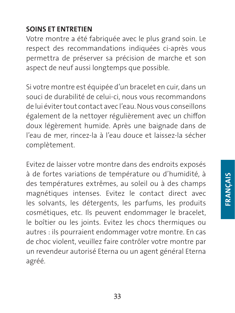#### SOINS ET ENTRETIEN

Votre montre a été fabriquée avec le plus grand soin. Le respect des recommandations indiquées ci-après vous permettra de préserver sa précision de marche et son aspect de neuf aussi longtemps que possible.

Si votre montre est équipée d'un bracelet en cuir, dans un souci de durabilité de celui-ci, nous vous recommandons de lui éviter tout contact avec l'eau. Nous vous conseillons également de la nettoyer régulièrement avec un chiffon doux légèrement humide. Après une baignade dans de l'eau de mer, rincez-la à l'eau douce et laissez-la sécher complètement.

Evitez de laisser votre montre dans des endroits exposés à de fortes variations de température ou d'humidité, à des températures extrêmes, au soleil ou à des champs magnétiques intenses. Evitez le contact direct avec les solvants, les détergents, les parfums, les produits cosmétiques, etc. Ils peuvent endommager le bracelet, le boîtier ou les joints. Evitez les chocs thermiques ou autres : ils pourraient endommager votre montre. En cas de choc violent, veuillez faire contrôler votre montre par un revendeur autorisé Eterna ou un agent général Eterna agréé.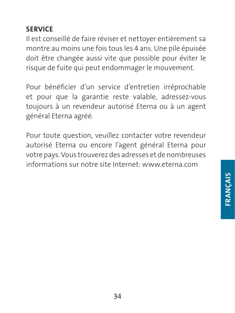#### SERVICE

Il est conseillé de faire réviser et nettoyer entièrement sa montre au moins une fois tous les 4 ans. Une pile épuisée doit être changée aussi vite que possible pour éviter le risque de fuite qui peut endommager le mouvement.

Pour bénéficier d'un service d'entretien irréprochable et pour que la garantie reste valable, adressez-vous toujours à un revendeur autorisé Eterna ou à un agent général Eterna agréé.

Pour toute question, veuillez contacter votre revendeur autorisé Eterna ou encore l'agent général Eterna pour votre pays. Vous trouverez des adresses et de nombreuses informations sur notre site Internet: www.eterna.com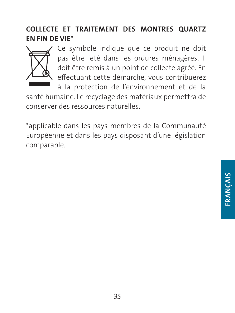#### COLLECTE ET TRAITEMENT DES MONTRES QUARTZ EN FIN DE VIE\*



Ce symbole indique que ce produit ne doit pas être jeté dans les ordures ménagères. Il doit être remis à un point de collecte agréé. En effectuant cette démarche, vous contribuerez

à la protection de l'environnement et de la santé humaine. Le recyclage des matériaux permettra de conserver des ressources naturelles.

\*applicable dans les pays membres de la Communauté Européenne et dans les pays disposant d'une législation comparable.